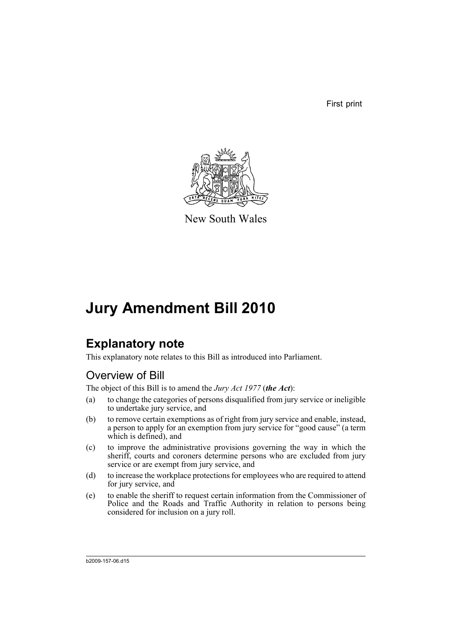First print



New South Wales

# **Jury Amendment Bill 2010**

# **Explanatory note**

This explanatory note relates to this Bill as introduced into Parliament.

# Overview of Bill

The object of this Bill is to amend the *Jury Act 1977* (*the Act*):

- (a) to change the categories of persons disqualified from jury service or ineligible to undertake jury service, and
- (b) to remove certain exemptions as of right from jury service and enable, instead, a person to apply for an exemption from jury service for "good cause" (a term which is defined), and
- (c) to improve the administrative provisions governing the way in which the sheriff, courts and coroners determine persons who are excluded from jury service or are exempt from jury service, and
- (d) to increase the workplace protections for employees who are required to attend for jury service, and
- (e) to enable the sheriff to request certain information from the Commissioner of Police and the Roads and Traffic Authority in relation to persons being considered for inclusion on a jury roll.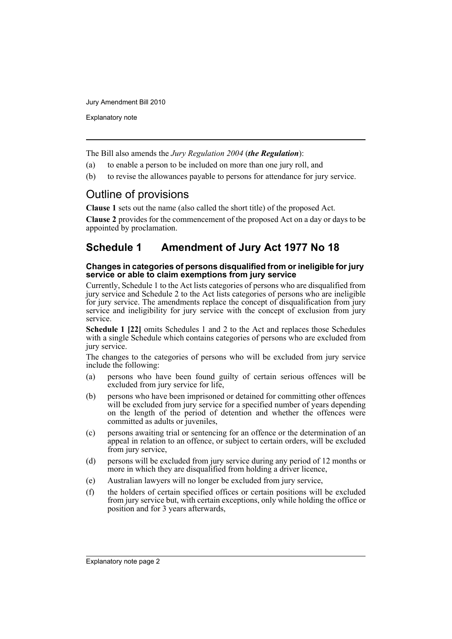Explanatory note

The Bill also amends the *Jury Regulation 2004* (*the Regulation*):

- (a) to enable a person to be included on more than one jury roll, and
- (b) to revise the allowances payable to persons for attendance for jury service.

# Outline of provisions

**Clause 1** sets out the name (also called the short title) of the proposed Act.

**Clause 2** provides for the commencement of the proposed Act on a day or days to be appointed by proclamation.

# **Schedule 1 Amendment of Jury Act 1977 No 18**

#### **Changes in categories of persons disqualified from or ineligible for jury service or able to claim exemptions from jury service**

Currently, Schedule 1 to the Act lists categories of persons who are disqualified from jury service and Schedule 2 to the Act lists categories of persons who are ineligible for jury service. The amendments replace the concept of disqualification from jury service and ineligibility for jury service with the concept of exclusion from jury service.

**Schedule 1 [22]** omits Schedules 1 and 2 to the Act and replaces those Schedules with a single Schedule which contains categories of persons who are excluded from jury service.

The changes to the categories of persons who will be excluded from jury service include the following:

- (a) persons who have been found guilty of certain serious offences will be excluded from jury service for life,
- (b) persons who have been imprisoned or detained for committing other offences will be excluded from jury service for a specified number of years depending on the length of the period of detention and whether the offences were committed as adults or juveniles,
- (c) persons awaiting trial or sentencing for an offence or the determination of an appeal in relation to an offence, or subject to certain orders, will be excluded from jury service,
- (d) persons will be excluded from jury service during any period of 12 months or more in which they are disqualified from holding a driver licence,
- (e) Australian lawyers will no longer be excluded from jury service,
- (f) the holders of certain specified offices or certain positions will be excluded from jury service but, with certain exceptions, only while holding the office or position and for 3 years afterwards,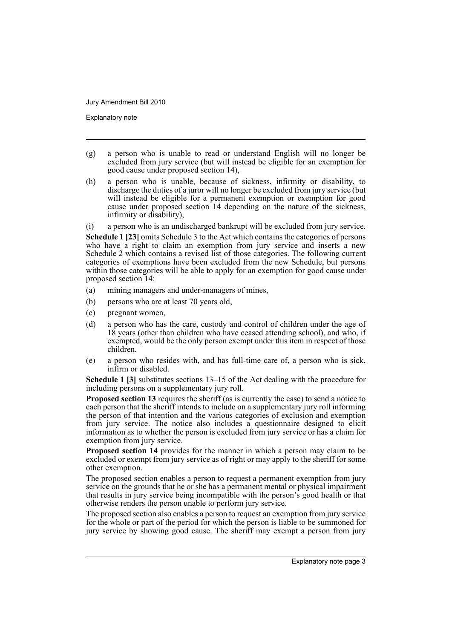Explanatory note

- (g) a person who is unable to read or understand English will no longer be excluded from jury service (but will instead be eligible for an exemption for good cause under proposed section 14),
- (h) a person who is unable, because of sickness, infirmity or disability, to discharge the duties of a juror will no longer be excluded from jury service (but will instead be eligible for a permanent exemption or exemption for good cause under proposed section 14 depending on the nature of the sickness, infirmity or disability),

(i) a person who is an undischarged bankrupt will be excluded from jury service. **Schedule 1 [23]** omits Schedule 3 to the Act which contains the categories of persons who have a right to claim an exemption from jury service and inserts a new Schedule 2 which contains a revised list of those categories. The following current categories of exemptions have been excluded from the new Schedule, but persons within those categories will be able to apply for an exemption for good cause under proposed section 14:

- (a) mining managers and under-managers of mines,
- (b) persons who are at least 70 years old,
- (c) pregnant women,
- (d) a person who has the care, custody and control of children under the age of 18 years (other than children who have ceased attending school), and who, if exempted, would be the only person exempt under this item in respect of those children,
- (e) a person who resides with, and has full-time care of, a person who is sick, infirm or disabled.

**Schedule 1 [3]** substitutes sections 13–15 of the Act dealing with the procedure for including persons on a supplementary jury roll.

**Proposed section 13** requires the sheriff (as is currently the case) to send a notice to each person that the sheriff intends to include on a supplementary jury roll informing the person of that intention and the various categories of exclusion and exemption from jury service. The notice also includes a questionnaire designed to elicit information as to whether the person is excluded from jury service or has a claim for exemption from jury service.

**Proposed section 14** provides for the manner in which a person may claim to be excluded or exempt from jury service as of right or may apply to the sheriff for some other exemption.

The proposed section enables a person to request a permanent exemption from jury service on the grounds that he or she has a permanent mental or physical impairment that results in jury service being incompatible with the person's good health or that otherwise renders the person unable to perform jury service.

The proposed section also enables a person to request an exemption from jury service for the whole or part of the period for which the person is liable to be summoned for jury service by showing good cause. The sheriff may exempt a person from jury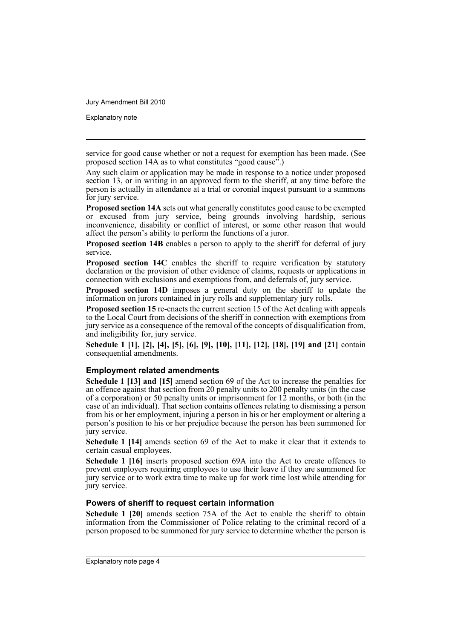Explanatory note

service for good cause whether or not a request for exemption has been made. (See proposed section 14A as to what constitutes "good cause".)

Any such claim or application may be made in response to a notice under proposed section 13, or in writing in an approved form to the sheriff, at any time before the person is actually in attendance at a trial or coronial inquest pursuant to a summons for jury service.

**Proposed section 14A** sets out what generally constitutes good cause to be exempted or excused from jury service, being grounds involving hardship, serious inconvenience, disability or conflict of interest, or some other reason that would affect the person's ability to perform the functions of a juror.

**Proposed section 14B** enables a person to apply to the sheriff for deferral of jury service.

**Proposed section 14C** enables the sheriff to require verification by statutory declaration or the provision of other evidence of claims, requests or applications in connection with exclusions and exemptions from, and deferrals of, jury service.

**Proposed section 14D** imposes a general duty on the sheriff to update the information on jurors contained in jury rolls and supplementary jury rolls.

**Proposed section 15** re-enacts the current section 15 of the Act dealing with appeals to the Local Court from decisions of the sheriff in connection with exemptions from jury service as a consequence of the removal of the concepts of disqualification from, and ineligibility for, jury service.

**Schedule 1 [1], [2], [4], [5], [6], [9], [10], [11], [12], [18], [19] and [21]** contain consequential amendments.

#### **Employment related amendments**

**Schedule 1 [13] and [15]** amend section 69 of the Act to increase the penalties for an offence against that section from 20 penalty units to 200 penalty units (in the case of a corporation) or 50 penalty units or imprisonment for 12 months, or both (in the case of an individual). That section contains offences relating to dismissing a person from his or her employment, injuring a person in his or her employment or altering a person's position to his or her prejudice because the person has been summoned for jury service.

**Schedule 1 [14]** amends section 69 of the Act to make it clear that it extends to certain casual employees.

**Schedule 1 [16]** inserts proposed section 69A into the Act to create offences to prevent employers requiring employees to use their leave if they are summoned for jury service or to work extra time to make up for work time lost while attending for jury service.

### **Powers of sheriff to request certain information**

**Schedule 1 [20]** amends section 75A of the Act to enable the sheriff to obtain information from the Commissioner of Police relating to the criminal record of a person proposed to be summoned for jury service to determine whether the person is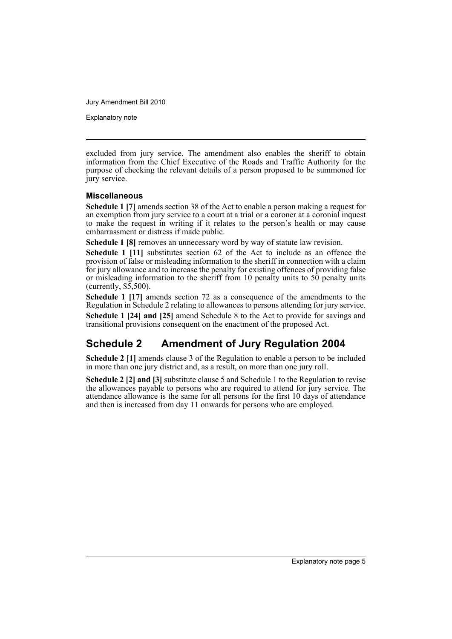Explanatory note

excluded from jury service. The amendment also enables the sheriff to obtain information from the Chief Executive of the Roads and Traffic Authority for the purpose of checking the relevant details of a person proposed to be summoned for jury service.

#### **Miscellaneous**

**Schedule 1 [7]** amends section 38 of the Act to enable a person making a request for an exemption from jury service to a court at a trial or a coroner at a coronial inquest to make the request in writing if it relates to the person's health or may cause embarrassment or distress if made public.

**Schedule 1 [8]** removes an unnecessary word by way of statute law revision.

**Schedule 1 [11]** substitutes section 62 of the Act to include as an offence the provision of false or misleading information to the sheriff in connection with a claim for jury allowance and to increase the penalty for existing offences of providing false or misleading information to the sheriff from 10 penalty units to 50 penalty units (currently,  $\overline{\$5,500}$ ).

**Schedule 1 [17]** amends section 72 as a consequence of the amendments to the Regulation in Schedule 2 relating to allowances to persons attending for jury service.

**Schedule 1 [24] and [25]** amend Schedule 8 to the Act to provide for savings and transitional provisions consequent on the enactment of the proposed Act.

# **Schedule 2 Amendment of Jury Regulation 2004**

**Schedule 2 [1]** amends clause 3 of the Regulation to enable a person to be included in more than one jury district and, as a result, on more than one jury roll.

**Schedule 2 [2] and [3]** substitute clause 5 and Schedule 1 to the Regulation to revise the allowances payable to persons who are required to attend for jury service. The attendance allowance is the same for all persons for the first 10 days of attendance and then is increased from day 11 onwards for persons who are employed.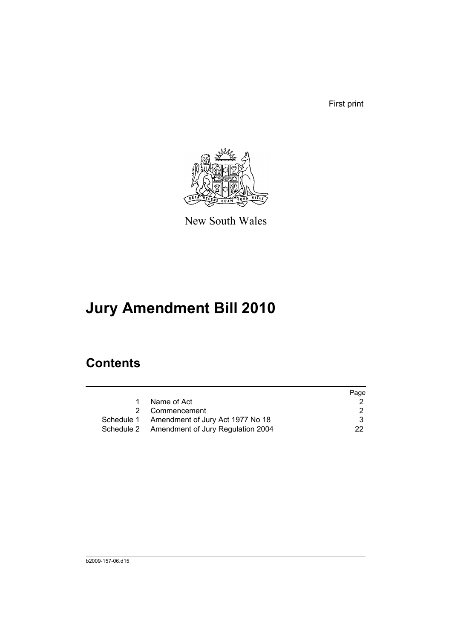First print



New South Wales

# **Jury Amendment Bill 2010**

# **Contents**

|   |                                              | Page |
|---|----------------------------------------------|------|
| 1 | Name of Act                                  |      |
|   | 2 Commencement                               |      |
|   | Schedule 1 Amendment of Jury Act 1977 No 18  | 3    |
|   | Schedule 2 Amendment of Jury Regulation 2004 | 22.  |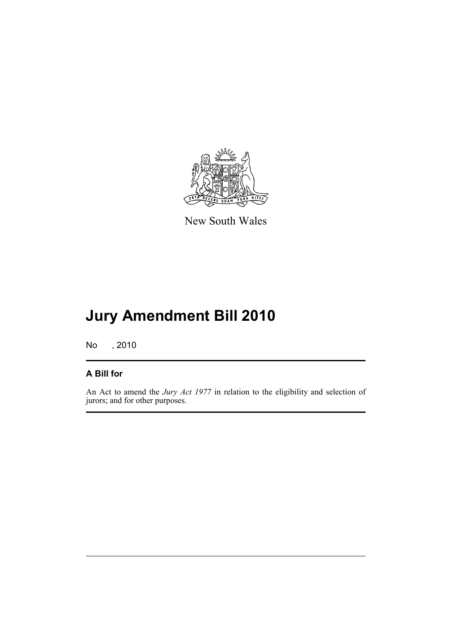

New South Wales

# **Jury Amendment Bill 2010**

No , 2010

## **A Bill for**

An Act to amend the *Jury Act 1977* in relation to the eligibility and selection of jurors; and for other purposes.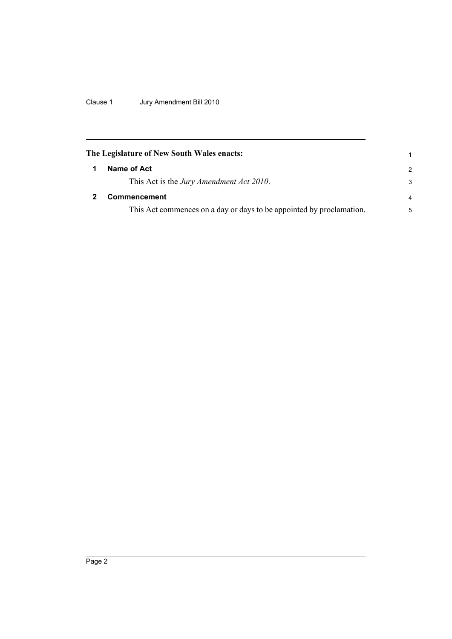Clause 1 Jury Amendment Bill 2010

<span id="page-9-1"></span><span id="page-9-0"></span>

| The Legislature of New South Wales enacts:                           |                |  |  |  |
|----------------------------------------------------------------------|----------------|--|--|--|
| Name of Act                                                          | 2              |  |  |  |
| This Act is the <i>Jury Amendment Act 2010</i> .                     | 3              |  |  |  |
| Commencement                                                         | $\overline{4}$ |  |  |  |
| This Act commences on a day or days to be appointed by proclamation. | 5              |  |  |  |
|                                                                      |                |  |  |  |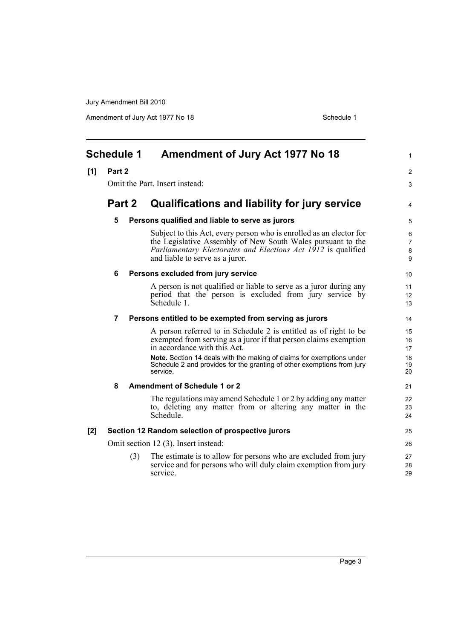<span id="page-10-0"></span>

| <b>Schedule 1</b> |        |     | Amendment of Jury Act 1977 No 18                                                                                                                                                                                                       | 1                |
|-------------------|--------|-----|----------------------------------------------------------------------------------------------------------------------------------------------------------------------------------------------------------------------------------------|------------------|
| [1]               | Part 2 |     |                                                                                                                                                                                                                                        | 2                |
|                   |        |     | Omit the Part. Insert instead:                                                                                                                                                                                                         | 3                |
|                   | Part 2 |     | Qualifications and liability for jury service                                                                                                                                                                                          | 4                |
|                   | 5      |     | Persons qualified and liable to serve as jurors                                                                                                                                                                                        | 5                |
|                   |        |     | Subject to this Act, every person who is enrolled as an elector for<br>the Legislative Assembly of New South Wales pursuant to the<br>Parliamentary Electorates and Elections Act 1912 is qualified<br>and liable to serve as a juror. | 6<br>7<br>8<br>9 |
|                   | 6      |     | Persons excluded from jury service                                                                                                                                                                                                     | 10               |
|                   |        |     | A person is not qualified or liable to serve as a juror during any<br>period that the person is excluded from jury service by<br>Schedule 1.                                                                                           | 11<br>12<br>13   |
|                   | 7      |     | Persons entitled to be exempted from serving as jurors                                                                                                                                                                                 | 14               |
|                   |        |     | A person referred to in Schedule 2 is entitled as of right to be<br>exempted from serving as a juror if that person claims exemption<br>in accordance with this Act.                                                                   | 15<br>16<br>17   |
|                   |        |     | Note. Section 14 deals with the making of claims for exemptions under<br>Schedule 2 and provides for the granting of other exemptions from jury<br>service.                                                                            | 18<br>19<br>20   |
|                   | 8      |     | <b>Amendment of Schedule 1 or 2</b>                                                                                                                                                                                                    | 21               |
|                   |        |     | The regulations may amend Schedule 1 or 2 by adding any matter<br>to, deleting any matter from or altering any matter in the<br>Schedule.                                                                                              | 22<br>23<br>24   |
| $[2]$             |        |     | Section 12 Random selection of prospective jurors                                                                                                                                                                                      | 25               |
|                   |        |     | Omit section 12 (3). Insert instead:                                                                                                                                                                                                   | 26               |
|                   |        | (3) | The estimate is to allow for persons who are excluded from jury<br>service and for persons who will duly claim exemption from jury<br>service.                                                                                         | 27<br>28<br>29   |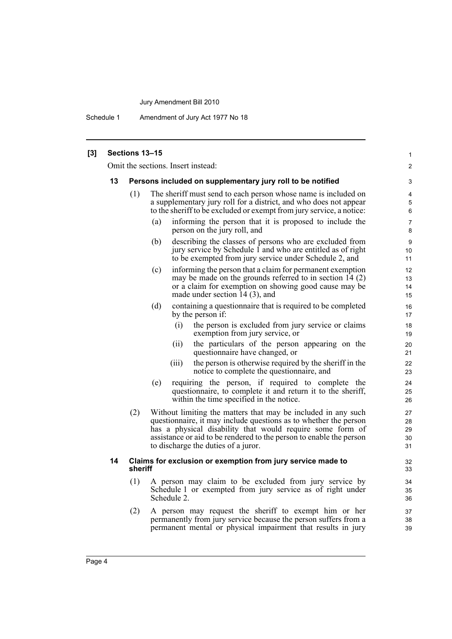Schedule 1 Amendment of Jury Act 1977 No 18

| $[3]$ |    | Sections 13-15 |                                                                                                                                                                                                                                                                                                              | 1                          |
|-------|----|----------------|--------------------------------------------------------------------------------------------------------------------------------------------------------------------------------------------------------------------------------------------------------------------------------------------------------------|----------------------------|
|       |    |                | Omit the sections. Insert instead:                                                                                                                                                                                                                                                                           | $\overline{2}$             |
|       | 13 |                | Persons included on supplementary jury roll to be notified                                                                                                                                                                                                                                                   | 3                          |
|       |    | (1)            | The sheriff must send to each person whose name is included on<br>a supplementary jury roll for a district, and who does not appear<br>to the sheriff to be excluded or exempt from jury service, a notice:                                                                                                  | 4<br>5<br>6                |
|       |    |                | informing the person that it is proposed to include the<br>(a)<br>person on the jury roll, and                                                                                                                                                                                                               | $\overline{7}$<br>8        |
|       |    |                | describing the classes of persons who are excluded from<br>(b)<br>jury service by Schedule 1 and who are entitled as of right<br>to be exempted from jury service under Schedule 2, and                                                                                                                      | 9<br>10 <sup>°</sup><br>11 |
|       |    |                | informing the person that a claim for permanent exemption<br>(c)<br>may be made on the grounds referred to in section $14(2)$<br>or a claim for exemption on showing good cause may be<br>made under section 14 (3), and                                                                                     | 12<br>13<br>14<br>15       |
|       |    |                | (d)<br>containing a question aire that is required to be completed<br>by the person if:                                                                                                                                                                                                                      | 16<br>17                   |
|       |    |                | the person is excluded from jury service or claims<br>(i)<br>exemption from jury service, or                                                                                                                                                                                                                 | 18<br>19                   |
|       |    |                | the particulars of the person appearing on the<br>(ii)<br>questionnaire have changed, or                                                                                                                                                                                                                     | 20<br>21                   |
|       |    |                | the person is otherwise required by the sheriff in the<br>(iii)<br>notice to complete the questionnaire, and                                                                                                                                                                                                 | 22<br>23                   |
|       |    |                | requiring the person, if required to complete the<br>(e)<br>questionnaire, to complete it and return it to the sheriff,<br>within the time specified in the notice.                                                                                                                                          | 24<br>25<br>26             |
|       |    | (2)            | Without limiting the matters that may be included in any such<br>questionnaire, it may include questions as to whether the person<br>has a physical disability that would require some form of<br>assistance or aid to be rendered to the person to enable the person<br>to discharge the duties of a juror. | 27<br>28<br>29<br>30<br>31 |
|       | 14 | sheriff        | Claims for exclusion or exemption from jury service made to                                                                                                                                                                                                                                                  | 32<br>33                   |
|       |    | (1)            | A person may claim to be excluded from jury service by<br>Schedule 1 or exempted from jury service as of right under<br>Schedule 2.                                                                                                                                                                          | 34<br>35<br>36             |
|       |    | (2)            | A person may request the sheriff to exempt him or her<br>permanently from jury service because the person suffers from a<br>permanent mental or physical impairment that results in jury                                                                                                                     | 37<br>38<br>39             |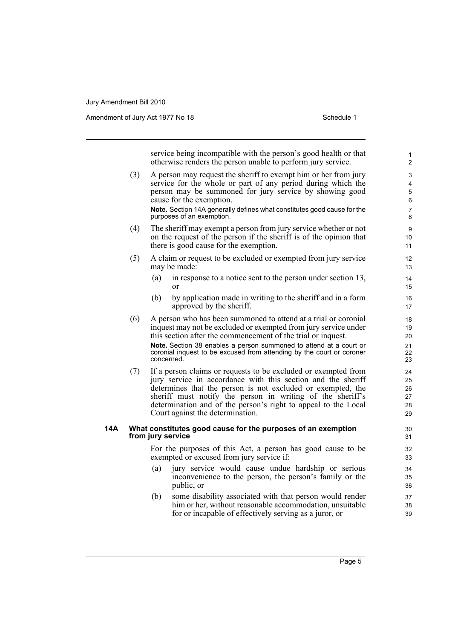Amendment of Jury Act 1977 No 18 Schedule 1

service being incompatible with the person's good health or that otherwise renders the person unable to perform jury service.

(3) A person may request the sheriff to exempt him or her from jury service for the whole or part of any period during which the person may be summoned for jury service by showing good cause for the exemption.

**Note.** Section 14A generally defines what constitutes good cause for the purposes of an exemption.

- (4) The sheriff may exempt a person from jury service whether or not on the request of the person if the sheriff is of the opinion that there is good cause for the exemption.
- (5) A claim or request to be excluded or exempted from jury service may be made:
	- (a) in response to a notice sent to the person under section 13, or
	- (b) by application made in writing to the sheriff and in a form approved by the sheriff.
- (6) A person who has been summoned to attend at a trial or coronial inquest may not be excluded or exempted from jury service under this section after the commencement of the trial or inquest. **Note.** Section 38 enables a person summoned to attend at a court or coronial inquest to be excused from attending by the court or coroner concerned.
- (7) If a person claims or requests to be excluded or exempted from jury service in accordance with this section and the sheriff determines that the person is not excluded or exempted, the sheriff must notify the person in writing of the sheriff's determination and of the person's right to appeal to the Local Court against the determination.

#### **14A What constitutes good cause for the purposes of an exemption from jury service**

For the purposes of this Act, a person has good cause to be exempted or excused from jury service if:

- (a) jury service would cause undue hardship or serious inconvenience to the person, the person's family or the public, or
- (b) some disability associated with that person would render him or her, without reasonable accommodation, unsuitable for or incapable of effectively serving as a juror, or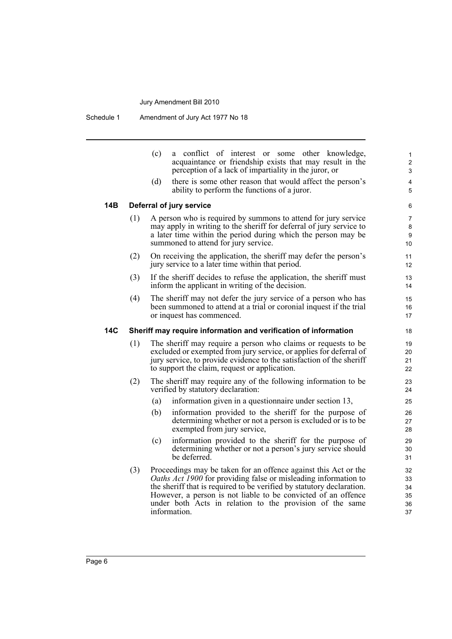Schedule 1 Amendment of Jury Act 1977 No 18

| (c) | a conflict of interest or some other knowledge,          |
|-----|----------------------------------------------------------|
|     | acquaintance or friendship exists that may result in the |
|     | perception of a lack of impartiality in the juror, or    |
|     |                                                          |

(d) there is some other reason that would affect the person's ability to perform the functions of a juror.

#### **14B Deferral of jury service**

- (1) A person who is required by summons to attend for jury service may apply in writing to the sheriff for deferral of jury service to a later time within the period during which the person may be summoned to attend for jury service.
- (2) On receiving the application, the sheriff may defer the person's jury service to a later time within that period.
- (3) If the sheriff decides to refuse the application, the sheriff must inform the applicant in writing of the decision.
- (4) The sheriff may not defer the jury service of a person who has been summoned to attend at a trial or coronial inquest if the trial or inquest has commenced.

#### **14C Sheriff may require information and verification of information**

- (1) The sheriff may require a person who claims or requests to be excluded or exempted from jury service, or applies for deferral of jury service, to provide evidence to the satisfaction of the sheriff to support the claim, request or application.
- (2) The sheriff may require any of the following information to be verified by statutory declaration:
	- (a) information given in a questionnaire under section 13,
	- (b) information provided to the sheriff for the purpose of determining whether or not a person is excluded or is to be exempted from jury service,
	- (c) information provided to the sheriff for the purpose of determining whether or not a person's jury service should be deferred.
- (3) Proceedings may be taken for an offence against this Act or the *Oaths Act 1900* for providing false or misleading information to the sheriff that is required to be verified by statutory declaration. However, a person is not liable to be convicted of an offence under both Acts in relation to the provision of the same information.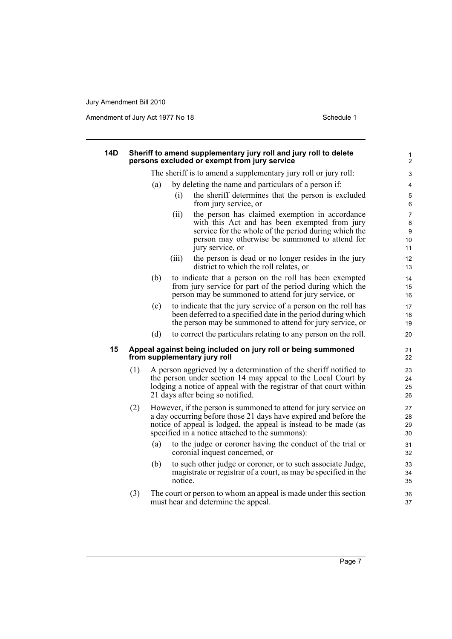| 14D |     |                | Sheriff to amend supplementary jury roll and jury roll to delete<br>persons excluded or exempt from jury service                                                                                                                                            | 1<br>$\overline{c}$     |
|-----|-----|----------------|-------------------------------------------------------------------------------------------------------------------------------------------------------------------------------------------------------------------------------------------------------------|-------------------------|
|     |     |                | The sheriff is to amend a supplementary jury roll or jury roll:                                                                                                                                                                                             | 3                       |
|     |     | (a)            | by deleting the name and particulars of a person if:                                                                                                                                                                                                        | 4                       |
|     |     | (i)            | the sheriff determines that the person is excluded<br>from jury service, or                                                                                                                                                                                 | 5<br>6                  |
|     |     | (ii)           | the person has claimed exemption in accordance<br>with this Act and has been exempted from jury<br>service for the whole of the period during which the<br>person may otherwise be summoned to attend for<br>jury service, or                               | 7<br>8<br>9<br>10<br>11 |
|     |     | (iii)          | the person is dead or no longer resides in the jury<br>district to which the roll relates, or                                                                                                                                                               | 12<br>13                |
|     |     | (b)            | to indicate that a person on the roll has been exempted<br>from jury service for part of the period during which the<br>person may be summoned to attend for jury service, or                                                                               | 14<br>15<br>16          |
|     |     | (c)            | to indicate that the jury service of a person on the roll has<br>been deferred to a specified date in the period during which<br>the person may be summoned to attend for jury service, or                                                                  | 17<br>18<br>19          |
|     |     | (d)            | to correct the particulars relating to any person on the roll.                                                                                                                                                                                              | 20                      |
| 15  |     |                | Appeal against being included on jury roll or being summoned<br>from supplementary jury roll                                                                                                                                                                | 21<br>22                |
|     | (1) |                | A person aggrieved by a determination of the sheriff notified to<br>the person under section 14 may appeal to the Local Court by<br>lodging a notice of appeal with the registrar of that court within<br>21 days after being so notified.                  | 23<br>24<br>25<br>26    |
|     | (2) |                | However, if the person is summoned to attend for jury service on<br>a day occurring before those 21 days have expired and before the<br>notice of appeal is lodged, the appeal is instead to be made (as<br>specified in a notice attached to the summons): | 27<br>28<br>29<br>30    |
|     |     | (a)            | to the judge or coroner having the conduct of the trial or<br>coronial inquest concerned, or                                                                                                                                                                | 31<br>32                |
|     |     | (b)<br>notice. | to such other judge or coroner, or to such associate Judge,<br>magistrate or registrar of a court, as may be specified in the                                                                                                                               | 33<br>34<br>35          |
|     | (3) |                | The court or person to whom an appeal is made under this section<br>must hear and determine the appeal.                                                                                                                                                     | 36<br>37                |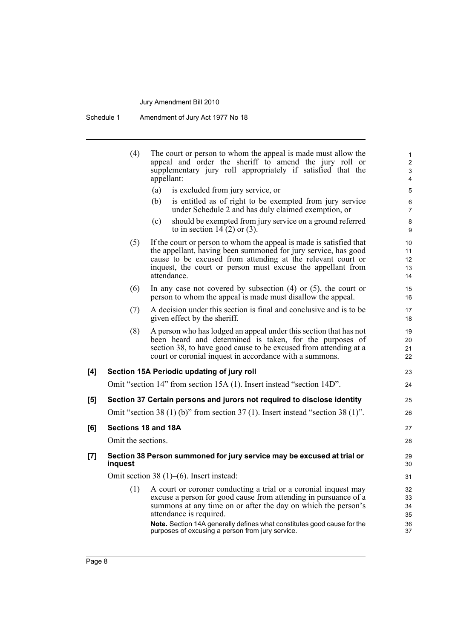Schedule 1 Amendment of Jury Act 1977 No 18

|     | (4)                 | The court or person to whom the appeal is made must allow the<br>appeal and order the sheriff to amend the jury roll or<br>supplementary jury roll appropriately if satisfied that the<br>appellant:                                                                                                      | 1<br>$\overline{\mathbf{c}}$<br>3<br>4 |
|-----|---------------------|-----------------------------------------------------------------------------------------------------------------------------------------------------------------------------------------------------------------------------------------------------------------------------------------------------------|----------------------------------------|
|     |                     | (a)<br>is excluded from jury service, or                                                                                                                                                                                                                                                                  | 5                                      |
|     |                     | is entitled as of right to be exempted from jury service<br>(b)<br>under Schedule 2 and has duly claimed exemption, or                                                                                                                                                                                    | 6<br>7                                 |
|     |                     | should be exempted from jury service on a ground referred<br>(c)<br>to in section 14 $(2)$ or $(3)$ .                                                                                                                                                                                                     | 8<br>9                                 |
|     | (5)                 | If the court or person to whom the appeal is made is satisfied that<br>the appellant, having been summoned for jury service, has good<br>cause to be excused from attending at the relevant court or<br>inquest, the court or person must excuse the appellant from<br>attendance.                        | 10<br>11<br>12<br>13<br>14             |
|     | (6)                 | In any case not covered by subsection $(4)$ or $(5)$ , the court or<br>person to whom the appeal is made must disallow the appeal.                                                                                                                                                                        | 15<br>16                               |
|     | (7)                 | A decision under this section is final and conclusive and is to be<br>given effect by the sheriff.                                                                                                                                                                                                        | 17<br>18                               |
|     | (8)                 | A person who has lodged an appeal under this section that has not<br>been heard and determined is taken, for the purposes of<br>section 38, to have good cause to be excused from attending at a<br>court or coronial inquest in accordance with a summons.                                               | 19<br>20<br>21<br>22                   |
| [4] |                     | Section 15A Periodic updating of jury roll                                                                                                                                                                                                                                                                | 23                                     |
|     |                     | Omit "section 14" from section 15A (1). Insert instead "section 14D".                                                                                                                                                                                                                                     | 24                                     |
| [5] |                     | Section 37 Certain persons and jurors not required to disclose identity                                                                                                                                                                                                                                   | 25                                     |
|     |                     | Omit "section 38 (1) (b)" from section 37 (1). Insert instead "section 38 (1)".                                                                                                                                                                                                                           | 26                                     |
| [6] | Sections 18 and 18A |                                                                                                                                                                                                                                                                                                           | 27                                     |
|     | Omit the sections.  |                                                                                                                                                                                                                                                                                                           | 28                                     |
| [7] | inquest             | Section 38 Person summoned for jury service may be excused at trial or                                                                                                                                                                                                                                    | 29<br>30                               |
|     |                     | Omit section 38 $(1)$ – $(6)$ . Insert instead:                                                                                                                                                                                                                                                           | 31                                     |
|     | (1)                 | A court or coroner conducting a trial or a coronial inquest may<br>excuse a person for good cause from attending in pursuance of a<br>summons at any time on or after the day on which the person's<br>attendance is required.<br>Note. Section 14A generally defines what constitutes good cause for the | 32<br>33<br>34<br>35<br>36             |
|     |                     | purposes of excusing a person from jury service.                                                                                                                                                                                                                                                          | 37                                     |
|     |                     |                                                                                                                                                                                                                                                                                                           |                                        |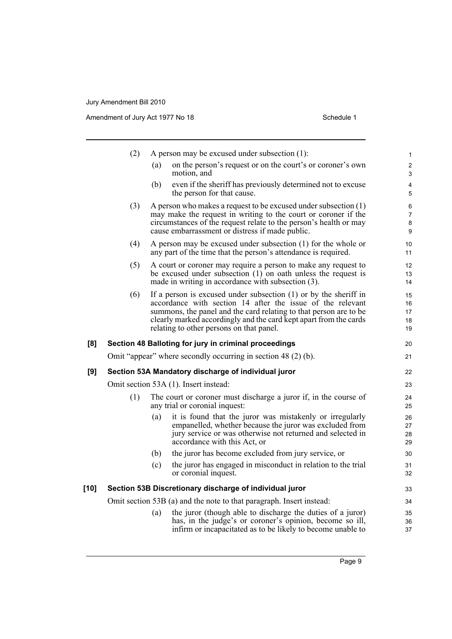|      | (2) | A person may be excused under subsection $(1)$ :                                                                                                                                                                                                                                                                       | 1                             |
|------|-----|------------------------------------------------------------------------------------------------------------------------------------------------------------------------------------------------------------------------------------------------------------------------------------------------------------------------|-------------------------------|
|      |     | on the person's request or on the court's or coroner's own<br>(a)<br>motion, and                                                                                                                                                                                                                                       | $\overline{\mathbf{c}}$<br>3  |
|      |     | even if the sheriff has previously determined not to excuse<br>(b)<br>the person for that cause.                                                                                                                                                                                                                       | 4<br>5                        |
|      | (3) | A person who makes a request to be excused under subsection $(1)$<br>may make the request in writing to the court or coroner if the<br>circumstances of the request relate to the person's health or may<br>cause embarrassment or distress if made public.                                                            | 6<br>$\overline{7}$<br>8<br>9 |
|      | (4) | A person may be excused under subsection (1) for the whole or<br>any part of the time that the person's attendance is required.                                                                                                                                                                                        | 10<br>11                      |
|      | (5) | A court or coroner may require a person to make any request to<br>be excused under subsection $(1)$ on oath unless the request is<br>made in writing in accordance with subsection (3).                                                                                                                                | 12<br>13<br>14                |
|      | (6) | If a person is excused under subsection $(1)$ or by the sheriff in<br>accordance with section 14 after the issue of the relevant<br>summons, the panel and the card relating to that person are to be<br>clearly marked accordingly and the card kept apart from the cards<br>relating to other persons on that panel. | 15<br>16<br>17<br>18<br>19    |
| [8]  |     | Section 48 Balloting for jury in criminal proceedings                                                                                                                                                                                                                                                                  | 20                            |
|      |     | Omit "appear" where secondly occurring in section 48 (2) (b).                                                                                                                                                                                                                                                          | 21                            |
| [9]  |     | Section 53A Mandatory discharge of individual juror                                                                                                                                                                                                                                                                    | 22                            |
|      |     | Omit section 53A (1). Insert instead:                                                                                                                                                                                                                                                                                  | 23                            |
|      | (1) | The court or coroner must discharge a juror if, in the course of<br>any trial or coronial inquest:                                                                                                                                                                                                                     | 24<br>25                      |
|      |     | it is found that the juror was mistakenly or irregularly<br>(a)<br>empanelled, whether because the juror was excluded from<br>jury service or was otherwise not returned and selected in<br>accordance with this Act, or                                                                                               | 26<br>27<br>28<br>29          |
|      |     | the juror has become excluded from jury service, or<br>(b)                                                                                                                                                                                                                                                             | 30                            |
|      |     | the juror has engaged in misconduct in relation to the trial<br>(c)<br>or coronial inquest.                                                                                                                                                                                                                            | 31<br>32                      |
| [10] |     | Section 53B Discretionary discharge of individual juror                                                                                                                                                                                                                                                                | 33                            |
|      |     | Omit section 53B (a) and the note to that paragraph. Insert instead:                                                                                                                                                                                                                                                   | 34                            |
|      |     | the juror (though able to discharge the duties of a juror)<br>(a)<br>has, in the judge's or coroner's opinion, become so ill,<br>infirm or incapacitated as to be likely to become unable to                                                                                                                           | 35<br>36<br>37                |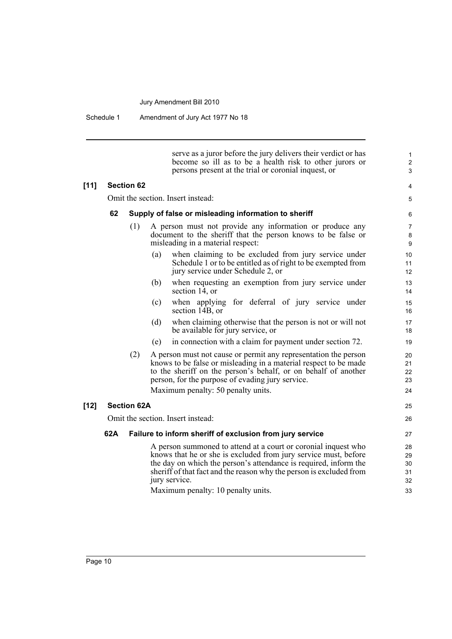Schedule 1 Amendment of Jury Act 1977 No 18

serve as a juror before the jury delivers their verdict or has become so ill as to be a health risk to other jurors or persons present at the trial or coronial inquest, or

25 26

#### **[11] Section 62**

Omit the section. Insert instead:

#### **62 Supply of false or misleading information to sheriff**

- (1) A person must not provide any information or produce any document to the sheriff that the person knows to be false or misleading in a material respect:
	- (a) when claiming to be excluded from jury service under Schedule 1 or to be entitled as of right to be exempted from jury service under Schedule 2, or
	- (b) when requesting an exemption from jury service under section 14, or
	- (c) when applying for deferral of jury service under section 14B, or
	- (d) when claiming otherwise that the person is not or will not be available for jury service, or
	- (e) in connection with a claim for payment under section 72.
- (2) A person must not cause or permit any representation the person knows to be false or misleading in a material respect to be made to the sheriff on the person's behalf, or on behalf of another person, for the purpose of evading jury service. Maximum penalty: 50 penalty units.

#### **[12] Section 62A**

Omit the section. Insert instead:

#### **62A Failure to inform sheriff of exclusion from jury service**

A person summoned to attend at a court or coronial inquest who knows that he or she is excluded from jury service must, before the day on which the person's attendance is required, inform the sheriff of that fact and the reason why the person is excluded from jury service.

Maximum penalty: 10 penalty units.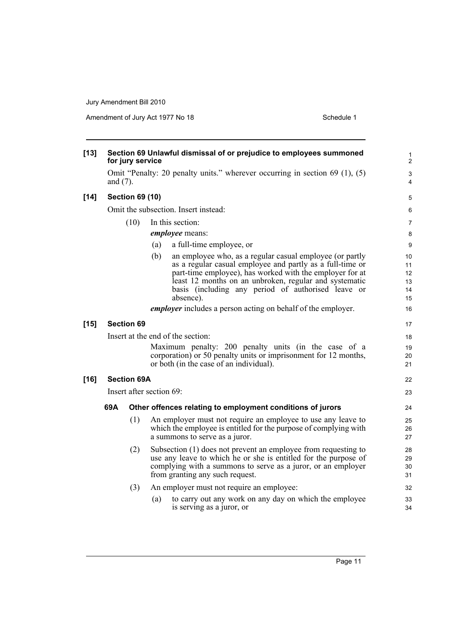| $[13]$ |             | for jury service       | Section 69 Unlawful dismissal of or prejudice to employees summoned                                                                                                                                                                                                                                                   | $\mathbf{1}$<br>$\overline{2}$   |
|--------|-------------|------------------------|-----------------------------------------------------------------------------------------------------------------------------------------------------------------------------------------------------------------------------------------------------------------------------------------------------------------------|----------------------------------|
|        | and $(7)$ . |                        | Omit "Penalty: 20 penalty units." wherever occurring in section 69 (1), (5)                                                                                                                                                                                                                                           | 3<br>4                           |
| $[14]$ |             | <b>Section 69 (10)</b> |                                                                                                                                                                                                                                                                                                                       | 5                                |
|        |             |                        | Omit the subsection. Insert instead:                                                                                                                                                                                                                                                                                  | 6                                |
|        |             | (10)                   | In this section:                                                                                                                                                                                                                                                                                                      | $\overline{7}$                   |
|        |             |                        | employee means:                                                                                                                                                                                                                                                                                                       | 8                                |
|        |             |                        | a full-time employee, or<br>(a)                                                                                                                                                                                                                                                                                       | 9                                |
|        |             |                        | (b)<br>an employee who, as a regular casual employee (or partly<br>as a regular casual employee and partly as a full-time or<br>part-time employee), has worked with the employer for at<br>least 12 months on an unbroken, regular and systematic<br>basis (including any period of authorised leave or<br>absence). | 10<br>11<br>12<br>13<br>14<br>15 |
|        |             |                        | <i>employer</i> includes a person acting on behalf of the employer.                                                                                                                                                                                                                                                   | 16                               |
| $[15]$ |             | <b>Section 69</b>      |                                                                                                                                                                                                                                                                                                                       | 17                               |
|        |             |                        | Insert at the end of the section:                                                                                                                                                                                                                                                                                     |                                  |
|        |             |                        | Maximum penalty: 200 penalty units (in the case of a<br>corporation) or 50 penalty units or imprisonment for 12 months,<br>or both (in the case of an individual).                                                                                                                                                    | 18<br>19<br>20<br>21             |
| $[16]$ |             | <b>Section 69A</b>     |                                                                                                                                                                                                                                                                                                                       | 22                               |
|        |             |                        | Insert after section 69:                                                                                                                                                                                                                                                                                              | 23                               |
|        | 69A         |                        | Other offences relating to employment conditions of jurors                                                                                                                                                                                                                                                            | 24                               |
|        |             | (1)                    | An employer must not require an employee to use any leave to                                                                                                                                                                                                                                                          |                                  |
|        |             |                        | which the employee is entitled for the purpose of complying with<br>a summons to serve as a juror.                                                                                                                                                                                                                    | 25<br>26<br>27                   |
|        |             | (2)                    | Subsection (1) does not prevent an employee from requesting to<br>use any leave to which he or she is entitled for the purpose of<br>complying with a summons to serve as a juror, or an employer<br>from granting any such request.                                                                                  | 28<br>29<br>30<br>31             |
|        |             | (3)                    | An employer must not require an employee:                                                                                                                                                                                                                                                                             | 32                               |
|        |             |                        | to carry out any work on any day on which the employee<br>(a)<br>is serving as a juror, or                                                                                                                                                                                                                            | 33<br>34                         |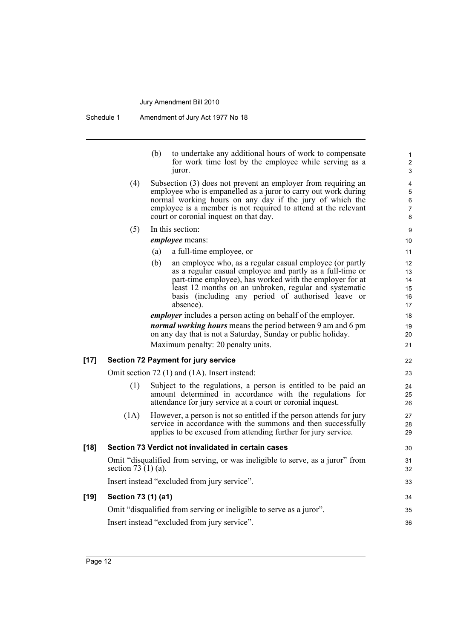|        |                       | (b)<br>to undertake any additional hours of work to compensate<br>for work time lost by the employee while serving as a<br>juror.                                                                                                                                                                                     | 1<br>$\overline{\mathbf{c}}$<br>3 |
|--------|-----------------------|-----------------------------------------------------------------------------------------------------------------------------------------------------------------------------------------------------------------------------------------------------------------------------------------------------------------------|-----------------------------------|
|        | (4)                   | Subsection (3) does not prevent an employer from requiring an<br>employee who is empanelled as a juror to carry out work during<br>normal working hours on any day if the jury of which the<br>employee is a member is not required to attend at the relevant<br>court or coronial inquest on that day.               | 4<br>5<br>6<br>7<br>8             |
|        | (5)                   | In this section:                                                                                                                                                                                                                                                                                                      | 9                                 |
|        |                       | employee means:                                                                                                                                                                                                                                                                                                       | 10                                |
|        |                       | a full-time employee, or<br>(a)                                                                                                                                                                                                                                                                                       | 11                                |
|        |                       | (b)<br>an employee who, as a regular casual employee (or partly<br>as a regular casual employee and partly as a full-time or<br>part-time employee), has worked with the employer for at<br>least 12 months on an unbroken, regular and systematic<br>basis (including any period of authorised leave or<br>absence). | 12<br>13<br>14<br>15<br>16<br>17  |
|        |                       | <i>employer</i> includes a person acting on behalf of the employer.                                                                                                                                                                                                                                                   | 18                                |
|        |                       | normal working hours means the period between 9 am and 6 pm<br>on any day that is not a Saturday, Sunday or public holiday.                                                                                                                                                                                           | 19<br>20                          |
|        |                       | Maximum penalty: 20 penalty units.                                                                                                                                                                                                                                                                                    | 21                                |
| $[17]$ |                       | <b>Section 72 Payment for jury service</b>                                                                                                                                                                                                                                                                            | 22                                |
|        |                       | Omit section 72 (1) and (1A). Insert instead:                                                                                                                                                                                                                                                                         | 23                                |
|        | (1)                   | Subject to the regulations, a person is entitled to be paid an<br>amount determined in accordance with the regulations for<br>attendance for jury service at a court or coronial inquest.                                                                                                                             | 24<br>25<br>26                    |
|        | (1A)                  | However, a person is not so entitled if the person attends for jury<br>service in accordance with the summons and then successfully<br>applies to be excused from attending further for jury service.                                                                                                                 | 27<br>28<br>29                    |
| $[18]$ |                       | Section 73 Verdict not invalidated in certain cases                                                                                                                                                                                                                                                                   | 30                                |
|        | section 73 $(1)$ (a). | Omit "disqualified from serving, or was ineligible to serve, as a juror" from                                                                                                                                                                                                                                         | 31<br>32                          |
|        |                       | Insert instead "excluded from jury service".                                                                                                                                                                                                                                                                          | 33                                |
| $[19]$ | Section 73 (1) (a1)   |                                                                                                                                                                                                                                                                                                                       | 34                                |
|        |                       | Omit "disqualified from serving or ineligible to serve as a juror".                                                                                                                                                                                                                                                   | 35                                |
|        |                       | Insert instead "excluded from jury service".                                                                                                                                                                                                                                                                          | 36                                |
|        |                       |                                                                                                                                                                                                                                                                                                                       |                                   |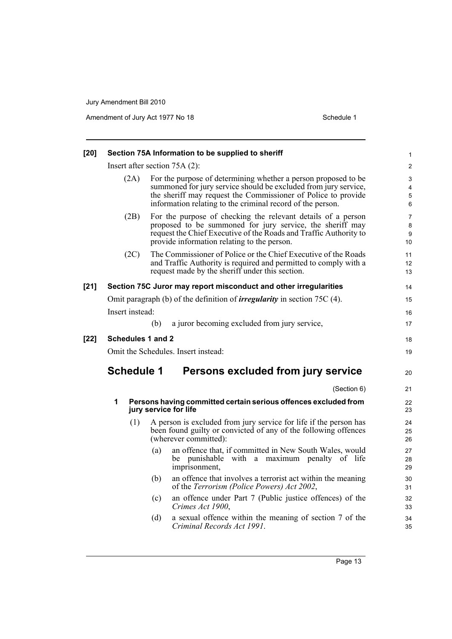| [20]   |                   | Section 75A Information to be supplied to sheriff                                                                                                                                                                                                                | 1                              |
|--------|-------------------|------------------------------------------------------------------------------------------------------------------------------------------------------------------------------------------------------------------------------------------------------------------|--------------------------------|
|        |                   | Insert after section $75A(2)$ :                                                                                                                                                                                                                                  | $\overline{c}$                 |
|        | (2A)              | For the purpose of determining whether a person proposed to be<br>summoned for jury service should be excluded from jury service,<br>the sheriff may request the Commissioner of Police to provide<br>information relating to the criminal record of the person. | 3<br>4<br>5<br>6               |
|        | (2B)              | For the purpose of checking the relevant details of a person<br>proposed to be summoned for jury service, the sheriff may<br>request the Chief Executive of the Roads and Traffic Authority to<br>provide information relating to the person.                    | $\overline{7}$<br>8<br>9<br>10 |
|        | (2C)              | The Commissioner of Police or the Chief Executive of the Roads<br>and Traffic Authority is required and permitted to comply with a<br>request made by the sheriff under this section.                                                                            | 11<br>12<br>13                 |
| $[21]$ |                   | Section 75C Juror may report misconduct and other irregularities                                                                                                                                                                                                 | 14                             |
|        |                   | Omit paragraph (b) of the definition of <i>irregularity</i> in section 75C (4).                                                                                                                                                                                  | 15                             |
|        | Insert instead:   |                                                                                                                                                                                                                                                                  | 16                             |
|        |                   | a juror becoming excluded from jury service,<br>(b)                                                                                                                                                                                                              | 17                             |
| $[22]$ | Schedules 1 and 2 |                                                                                                                                                                                                                                                                  | 18                             |
|        |                   | Omit the Schedules. Insert instead:                                                                                                                                                                                                                              | 19                             |
|        | <b>Schedule 1</b> | Persons excluded from jury service                                                                                                                                                                                                                               | 20                             |
|        |                   | (Section 6)                                                                                                                                                                                                                                                      | 21                             |
|        | 1                 | Persons having committed certain serious offences excluded from<br>jury service for life                                                                                                                                                                         | 22<br>23                       |
|        | (1)               | A person is excluded from jury service for life if the person has<br>been found guilty or convicted of any of the following offences<br>(wherever committed):                                                                                                    | 24<br>25<br>26                 |
|        |                   | an offence that, if committed in New South Wales, would<br>(a)<br>be punishable with a maximum penalty of life<br>imprisonment,                                                                                                                                  | 27<br>28<br>29                 |
|        |                   | (b)<br>an offence that involves a terrorist act within the meaning<br>of the Terrorism (Police Powers) Act 2002,                                                                                                                                                 | 30<br>31                       |
|        |                   | an offence under Part 7 (Public justice offences) of the<br>(c)<br>Crimes Act 1900,                                                                                                                                                                              | 32<br>33                       |
|        |                   | a sexual offence within the meaning of section 7 of the<br>(d)<br>Criminal Records Act 1991.                                                                                                                                                                     | 34<br>35                       |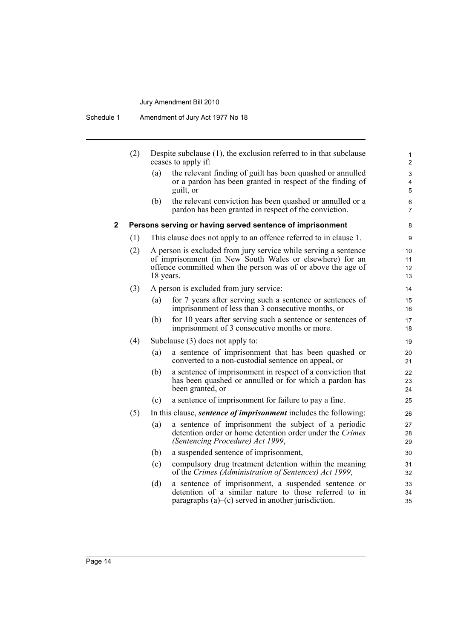Schedule 1 Amendment of Jury Act 1977 No 18

|   | (2) |           | Despite subclause $(1)$ , the exclusion referred to in that subclause<br>ceases to apply if:                                                                                                | 1<br>$\overline{2}$                 |
|---|-----|-----------|---------------------------------------------------------------------------------------------------------------------------------------------------------------------------------------------|-------------------------------------|
|   |     | (a)       | the relevant finding of guilt has been quashed or annulled<br>or a pardon has been granted in respect of the finding of<br>guilt, or                                                        | 3<br>4<br>5                         |
|   |     | (b)       | the relevant conviction has been quashed or annulled or a<br>pardon has been granted in respect of the conviction.                                                                          | 6<br>$\overline{7}$                 |
| 2 |     |           | Persons serving or having served sentence of imprisonment                                                                                                                                   | 8                                   |
|   | (1) |           | This clause does not apply to an offence referred to in clause 1.                                                                                                                           | 9                                   |
|   | (2) | 18 years. | A person is excluded from jury service while serving a sentence<br>of imprisonment (in New South Wales or elsewhere) for an<br>offence committed when the person was of or above the age of | 10<br>11<br>$12 \overline{ }$<br>13 |
|   | (3) |           | A person is excluded from jury service:                                                                                                                                                     | 14                                  |
|   |     | (a)       | for 7 years after serving such a sentence or sentences of<br>imprisonment of less than 3 consecutive months, or                                                                             | 15<br>16                            |
|   |     | (b)       | for 10 years after serving such a sentence or sentences of<br>imprisonment of 3 consecutive months or more.                                                                                 | 17<br>18                            |
|   | (4) |           | Subclause $(3)$ does not apply to:                                                                                                                                                          | 19                                  |
|   |     | (a)       | a sentence of imprisonment that has been quashed or<br>converted to a non-custodial sentence on appeal, or                                                                                  | 20<br>21                            |
|   |     | (b)       | a sentence of imprisonment in respect of a conviction that<br>has been quashed or annulled or for which a pardon has<br>been granted, or                                                    | 22<br>23<br>24                      |
|   |     | (c)       | a sentence of imprisonment for failure to pay a fine.                                                                                                                                       | 25                                  |
|   | (5) |           | In this clause, <i>sentence of imprisonment</i> includes the following:                                                                                                                     | 26                                  |
|   |     | (a)       | a sentence of imprisonment the subject of a periodic<br>detention order or home detention order under the Crimes<br>(Sentencing Procedure) Act 1999,                                        | 27<br>28<br>29                      |
|   |     | (b)       | a suspended sentence of imprisonment,                                                                                                                                                       | 30                                  |
|   |     | (c)       | compulsory drug treatment detention within the meaning<br>of the Crimes (Administration of Sentences) Act 1999,                                                                             | 31<br>32                            |
|   |     | (d)       | a sentence of imprisonment, a suspended sentence or<br>detention of a similar nature to those referred to in<br>paragraphs $(a)$ –(c) served in another jurisdiction.                       | 33<br>34<br>35                      |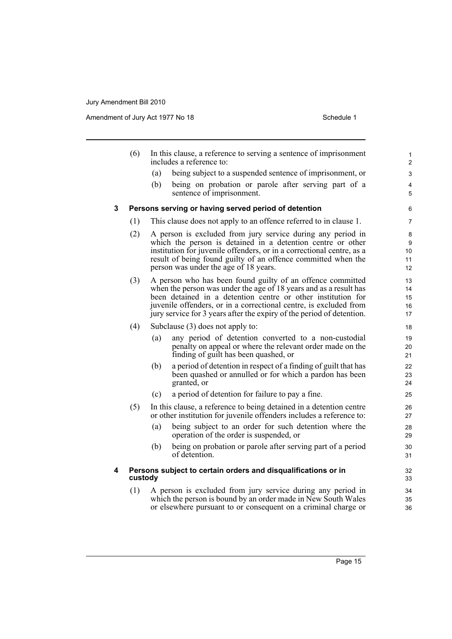|   | (6)                                                                      |                                                                                                                                                                                                                                                                                                               | In this clause, a reference to serving a sentence of imprisonment<br>includes a reference to:                                                                                                                                                                                                                                                 | 1<br>$\overline{c}$        |  |  |  |  |
|---|--------------------------------------------------------------------------|---------------------------------------------------------------------------------------------------------------------------------------------------------------------------------------------------------------------------------------------------------------------------------------------------------------|-----------------------------------------------------------------------------------------------------------------------------------------------------------------------------------------------------------------------------------------------------------------------------------------------------------------------------------------------|----------------------------|--|--|--|--|
|   |                                                                          | (a)                                                                                                                                                                                                                                                                                                           | being subject to a suspended sentence of imprisonment, or                                                                                                                                                                                                                                                                                     | 3                          |  |  |  |  |
|   |                                                                          | (b)                                                                                                                                                                                                                                                                                                           | being on probation or parole after serving part of a<br>sentence of imprisonment.                                                                                                                                                                                                                                                             | 4<br>5                     |  |  |  |  |
| 3 |                                                                          |                                                                                                                                                                                                                                                                                                               | Persons serving or having served period of detention                                                                                                                                                                                                                                                                                          | 6                          |  |  |  |  |
|   | (1)                                                                      | This clause does not apply to an offence referred to in clause 1.                                                                                                                                                                                                                                             |                                                                                                                                                                                                                                                                                                                                               |                            |  |  |  |  |
|   | (2)                                                                      | A person is excluded from jury service during any period in<br>which the person is detained in a detention centre or other<br>institution for juvenile offenders, or in a correctional centre, as a<br>result of being found guilty of an offence committed when the<br>person was under the age of 18 years. |                                                                                                                                                                                                                                                                                                                                               |                            |  |  |  |  |
|   | (3)                                                                      |                                                                                                                                                                                                                                                                                                               | A person who has been found guilty of an offence committed<br>when the person was under the age of 18 years and as a result has<br>been detained in a detention centre or other institution for<br>juvenile offenders, or in a correctional centre, is excluded from<br>jury service for 3 years after the expiry of the period of detention. | 13<br>14<br>15<br>16<br>17 |  |  |  |  |
|   | (4)                                                                      |                                                                                                                                                                                                                                                                                                               | Subclause (3) does not apply to:                                                                                                                                                                                                                                                                                                              | 18                         |  |  |  |  |
|   |                                                                          | (a)                                                                                                                                                                                                                                                                                                           | any period of detention converted to a non-custodial<br>penalty on appeal or where the relevant order made on the<br>finding of guilt has been quashed, or                                                                                                                                                                                    | 19<br>20<br>21             |  |  |  |  |
|   |                                                                          | (b)                                                                                                                                                                                                                                                                                                           | a period of detention in respect of a finding of guilt that has<br>been quashed or annulled or for which a pardon has been<br>granted, or                                                                                                                                                                                                     | 22<br>23<br>24             |  |  |  |  |
|   |                                                                          | (c)                                                                                                                                                                                                                                                                                                           | a period of detention for failure to pay a fine.                                                                                                                                                                                                                                                                                              | 25                         |  |  |  |  |
|   | (5)                                                                      | In this clause, a reference to being detained in a detention centre<br>or other institution for juvenile offenders includes a reference to:                                                                                                                                                                   |                                                                                                                                                                                                                                                                                                                                               |                            |  |  |  |  |
|   |                                                                          | (a)                                                                                                                                                                                                                                                                                                           | being subject to an order for such detention where the<br>operation of the order is suspended, or                                                                                                                                                                                                                                             | 28<br>29                   |  |  |  |  |
|   |                                                                          | (b)                                                                                                                                                                                                                                                                                                           | being on probation or parole after serving part of a period<br>of detention.                                                                                                                                                                                                                                                                  | 30<br>31                   |  |  |  |  |
| 4 | Persons subject to certain orders and disqualifications or in<br>custody |                                                                                                                                                                                                                                                                                                               |                                                                                                                                                                                                                                                                                                                                               |                            |  |  |  |  |
|   | (1)                                                                      | A person is excluded from jury service during any period in<br>which the person is bound by an order made in New South Wales<br>or elsewhere pursuant to or consequent on a criminal charge or                                                                                                                |                                                                                                                                                                                                                                                                                                                                               |                            |  |  |  |  |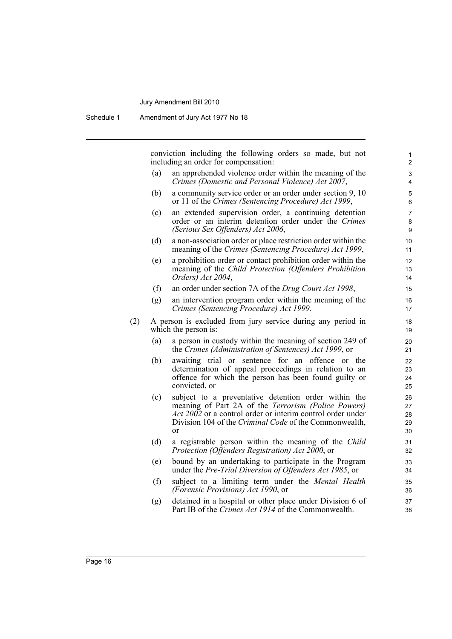conviction including the following orders so made, but not including an order for compensation:

(a) an apprehended violence order within the meaning of the *Crimes (Domestic and Personal Violence) Act 2007*,

- (b) a community service order or an order under section 9, 10 or 11 of the *Crimes (Sentencing Procedure) Act 1999*,
- (c) an extended supervision order, a continuing detention order or an interim detention order under the *Crimes (Serious Sex Offenders) Act 2006*,
- (d) a non-association order or place restriction order within the meaning of the *Crimes (Sentencing Procedure) Act 1999*,
- (e) a prohibition order or contact prohibition order within the meaning of the *Child Protection (Offenders Prohibition Orders) Act 2004*,
- (f) an order under section 7A of the *Drug Court Act 1998*,
- (g) an intervention program order within the meaning of the *Crimes (Sentencing Procedure) Act 1999*.
- (2) A person is excluded from jury service during any period in which the person is:
	- (a) a person in custody within the meaning of section 249 of the *Crimes (Administration of Sentences) Act 1999*, or
	- (b) awaiting trial or sentence for an offence or the determination of appeal proceedings in relation to an offence for which the person has been found guilty or convicted, or
	- (c) subject to a preventative detention order within the meaning of Part 2A of the *Terrorism (Police Powers) Act 2002* or a control order or interim control order under Division 104 of the *Criminal Code* of the Commonwealth, or
	- (d) a registrable person within the meaning of the *Child Protection (Offenders Registration) Act 2000*, or
	- (e) bound by an undertaking to participate in the Program under the *Pre-Trial Diversion of Offenders Act 1985*, or
	- (f) subject to a limiting term under the *Mental Health (Forensic Provisions) Act 1990*, or
	- (g) detained in a hospital or other place under Division 6 of Part IB of the *Crimes Act 1914* of the Commonwealth.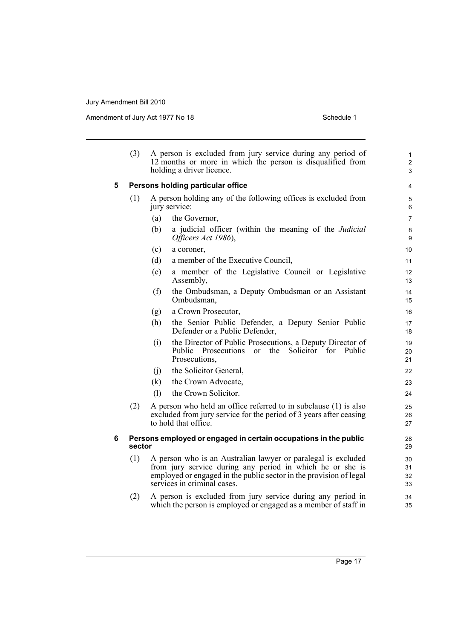|   | (3)    | A person is excluded from jury service during any period of<br>12 months or more in which the person is disqualified from<br>holding a driver licence.                                                                          |                                                                                                                                                                |                |  |  |
|---|--------|---------------------------------------------------------------------------------------------------------------------------------------------------------------------------------------------------------------------------------|----------------------------------------------------------------------------------------------------------------------------------------------------------------|----------------|--|--|
| 5 |        | Persons holding particular office                                                                                                                                                                                               |                                                                                                                                                                |                |  |  |
|   | (1)    | A person holding any of the following offices is excluded from<br>jury service:                                                                                                                                                 |                                                                                                                                                                |                |  |  |
|   |        | (a)                                                                                                                                                                                                                             | the Governor,                                                                                                                                                  | $\overline{7}$ |  |  |
|   |        | (b)                                                                                                                                                                                                                             | a judicial officer (within the meaning of the <i>Judicial</i><br>Officers Act 1986),                                                                           | 8<br>9         |  |  |
|   |        | (c)                                                                                                                                                                                                                             | a coroner,                                                                                                                                                     | 10             |  |  |
|   |        | (d)                                                                                                                                                                                                                             | a member of the Executive Council,                                                                                                                             | 11             |  |  |
|   |        | (e)                                                                                                                                                                                                                             | a member of the Legislative Council or Legislative<br>Assembly,                                                                                                | 12<br>13       |  |  |
|   |        | (f)                                                                                                                                                                                                                             | the Ombudsman, a Deputy Ombudsman or an Assistant<br>Ombudsman,                                                                                                | 14<br>15       |  |  |
|   |        | (g)                                                                                                                                                                                                                             | a Crown Prosecutor,                                                                                                                                            | 16             |  |  |
|   |        | (h)                                                                                                                                                                                                                             | the Senior Public Defender, a Deputy Senior Public<br>Defender or a Public Defender,                                                                           | 17<br>18       |  |  |
|   |        | (i)                                                                                                                                                                                                                             | the Director of Public Prosecutions, a Deputy Director of<br><b>Public</b><br>Prosecutions<br>the<br>Solicitor for Public<br>$\alpha$<br>Prosecutions,         | 19<br>20<br>21 |  |  |
|   |        | (j)                                                                                                                                                                                                                             | the Solicitor General,                                                                                                                                         | 22             |  |  |
|   |        | (k)                                                                                                                                                                                                                             | the Crown Advocate,                                                                                                                                            | 23             |  |  |
|   |        | (1)                                                                                                                                                                                                                             | the Crown Solicitor.                                                                                                                                           | 24             |  |  |
|   | (2)    |                                                                                                                                                                                                                                 | A person who held an office referred to in subclause (1) is also<br>excluded from jury service for the period of 3 years after ceasing<br>to hold that office. | 25<br>26<br>27 |  |  |
| 6 | sector |                                                                                                                                                                                                                                 | Persons employed or engaged in certain occupations in the public                                                                                               | 28<br>29       |  |  |
|   | (1)    | A person who is an Australian lawyer or paralegal is excluded<br>from jury service during any period in which he or she is<br>employed or engaged in the public sector in the provision of legal<br>services in criminal cases. |                                                                                                                                                                |                |  |  |
|   | (2)    |                                                                                                                                                                                                                                 | A person is excluded from jury service during any period in<br>which the person is employed or engaged as a member of staff in                                 | 34<br>35       |  |  |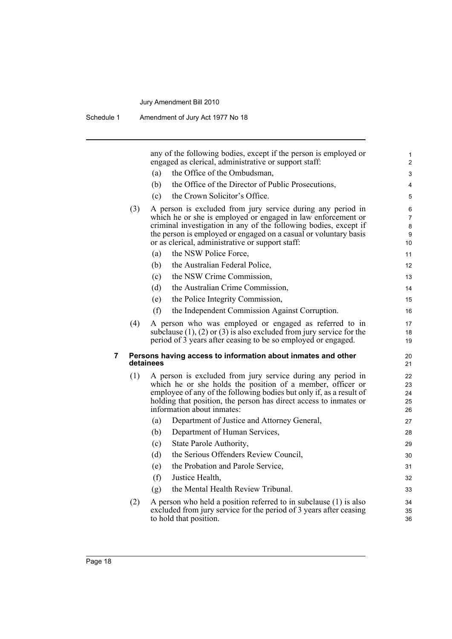Schedule 1 Amendment of Jury Act 1977 No 18

any of the following bodies, except if the person is employed or engaged as clerical, administrative or support staff: (a) the Office of the Ombudsman, (b) the Office of the Director of Public Prosecutions, (c) the Crown Solicitor's Office. (3) A person is excluded from jury service during any period in which he or she is employed or engaged in law enforcement or criminal investigation in any of the following bodies, except if the person is employed or engaged on a casual or voluntary basis or as clerical, administrative or support staff: (a) the NSW Police Force, (b) the Australian Federal Police, (c) the NSW Crime Commission, (d) the Australian Crime Commission, (e) the Police Integrity Commission, (f) the Independent Commission Against Corruption. (4) A person who was employed or engaged as referred to in subclause (1), (2) or (3) is also excluded from jury service for the period of 3 years after ceasing to be so employed or engaged. **7 Persons having access to information about inmates and other detainees** (1) A person is excluded from jury service during any period in which he or she holds the position of a member, officer or employee of any of the following bodies but only if, as a result of holding that position, the person has direct access to inmates or information about inmates: (a) Department of Justice and Attorney General, (b) Department of Human Services, (c) State Parole Authority, (d) the Serious Offenders Review Council, (e) the Probation and Parole Service, (f) Justice Health, (g) the Mental Health Review Tribunal. (2) A person who held a position referred to in subclause (1) is also excluded from jury service for the period of 3 years after ceasing to hold that position. 1 2  $\overline{a}$ 4 5 6 7 8 9 10 11 12 13 14 15 16 17 18 19 20 21 22 23 24 25 26 27 28 29 30 31 32 33 34 35 36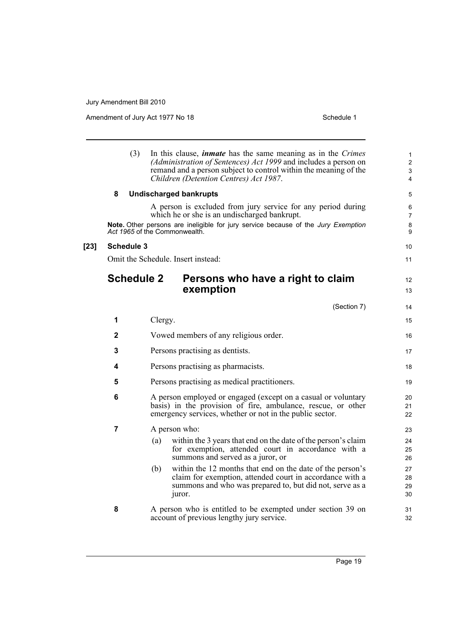|        | (3)               | In this clause, <i>inmate</i> has the same meaning as in the <i>Crimes</i><br>(Administration of Sentences) Act 1999 and includes a person on<br>remand and a person subject to control within the meaning of the<br>Children (Detention Centres) Act 1987. | 1<br>$\overline{c}$<br>3<br>4 |
|--------|-------------------|-------------------------------------------------------------------------------------------------------------------------------------------------------------------------------------------------------------------------------------------------------------|-------------------------------|
|        | 8                 | <b>Undischarged bankrupts</b>                                                                                                                                                                                                                               | 5                             |
|        |                   | A person is excluded from jury service for any period during<br>which he or she is an undischarged bankrupt.<br>Note. Other persons are ineligible for jury service because of the Jury Exemption<br>Act 1965 of the Commonwealth.                          | 6<br>7<br>8<br>9              |
| $[23]$ | <b>Schedule 3</b> |                                                                                                                                                                                                                                                             | 10                            |
|        |                   | Omit the Schedule. Insert instead:                                                                                                                                                                                                                          | 11                            |
|        | <b>Schedule 2</b> | Persons who have a right to claim<br>exemption                                                                                                                                                                                                              | 12<br>13                      |
|        |                   | (Section 7)                                                                                                                                                                                                                                                 | 14                            |
|        | 1                 | Clergy.                                                                                                                                                                                                                                                     | 15                            |
|        | 2                 | Vowed members of any religious order.                                                                                                                                                                                                                       | 16                            |
|        | 3                 | Persons practising as dentists.                                                                                                                                                                                                                             | 17                            |
|        | 4                 | Persons practising as pharmacists.                                                                                                                                                                                                                          | 18                            |
|        | 5                 | Persons practising as medical practitioners.<br>A person employed or engaged (except on a casual or voluntary<br>basis) in the provision of fire, ambulance, rescue, or other<br>emergency services, whether or not in the public sector.                   |                               |
|        | 6                 |                                                                                                                                                                                                                                                             |                               |
|        | 7                 | A person who:                                                                                                                                                                                                                                               | 23                            |
|        |                   | within the 3 years that end on the date of the person's claim<br>(a)<br>for exemption, attended court in accordance with a<br>summons and served as a juror, or                                                                                             | 24<br>25<br>26                |
|        |                   | within the 12 months that end on the date of the person's<br>(b)<br>claim for exemption, attended court in accordance with a<br>summons and who was prepared to, but did not, serve as a<br>juror.                                                          | 27<br>28<br>29<br>30          |
|        | 8                 | A person who is entitled to be exempted under section 39 on<br>account of previous lengthy jury service.                                                                                                                                                    | 31<br>32                      |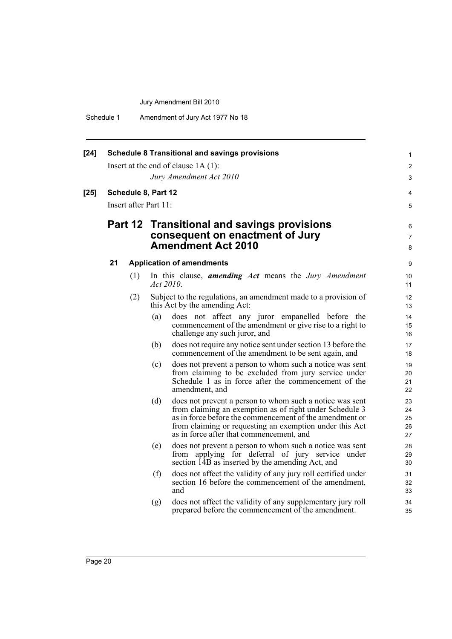Schedule 1 Amendment of Jury Act 1977 No 18

| $[24]$ | <b>Schedule 8 Transitional and savings provisions</b> |     |                                             |                                                                                                                                                                                                                                                                                       |                            |  |  |
|--------|-------------------------------------------------------|-----|---------------------------------------------|---------------------------------------------------------------------------------------------------------------------------------------------------------------------------------------------------------------------------------------------------------------------------------------|----------------------------|--|--|
|        |                                                       |     |                                             | Insert at the end of clause $1A(1)$ :                                                                                                                                                                                                                                                 | $\overline{2}$             |  |  |
|        |                                                       |     |                                             | Jury Amendment Act 2010                                                                                                                                                                                                                                                               | 3                          |  |  |
| $[25]$ | Schedule 8, Part 12                                   |     |                                             |                                                                                                                                                                                                                                                                                       |                            |  |  |
|        | Insert after Part 11:                                 |     |                                             |                                                                                                                                                                                                                                                                                       |                            |  |  |
|        |                                                       |     | Part 12 Transitional and savings provisions |                                                                                                                                                                                                                                                                                       |                            |  |  |
|        |                                                       |     |                                             | consequent on enactment of Jury                                                                                                                                                                                                                                                       |                            |  |  |
|        |                                                       |     |                                             | <b>Amendment Act 2010</b>                                                                                                                                                                                                                                                             | 8                          |  |  |
|        | 21                                                    |     |                                             | <b>Application of amendments</b>                                                                                                                                                                                                                                                      | 9                          |  |  |
|        |                                                       | (1) | Act 2010.                                   | In this clause, <b>amending Act</b> means the Jury Amendment                                                                                                                                                                                                                          | 10<br>11                   |  |  |
|        |                                                       | (2) |                                             | Subject to the regulations, an amendment made to a provision of<br>this Act by the amending Act:                                                                                                                                                                                      | 12<br>13                   |  |  |
|        |                                                       |     | (a)                                         | does not affect any juror empanelled before the<br>commencement of the amendment or give rise to a right to<br>challenge any such juror, and                                                                                                                                          | 14<br>15<br>16             |  |  |
|        |                                                       |     | (b)                                         | does not require any notice sent under section 13 before the<br>commencement of the amendment to be sent again, and                                                                                                                                                                   | 17<br>18                   |  |  |
|        |                                                       |     | (c)                                         | does not prevent a person to whom such a notice was sent<br>from claiming to be excluded from jury service under<br>Schedule 1 as in force after the commencement of the<br>amendment, and                                                                                            | 19<br>20<br>21<br>22       |  |  |
|        |                                                       |     | (d)                                         | does not prevent a person to whom such a notice was sent<br>from claiming an exemption as of right under Schedule 3<br>as in force before the commencement of the amendment or<br>from claiming or requesting an exemption under this Act<br>as in force after that commencement, and | 23<br>24<br>25<br>26<br>27 |  |  |
|        |                                                       |     | (e)                                         | does not prevent a person to whom such a notice was sent<br>from applying for deferral of jury service under<br>section 14B as inserted by the amending Act, and                                                                                                                      | 28<br>29<br>30             |  |  |
|        |                                                       |     | (f)                                         | does not affect the validity of any jury roll certified under<br>section 16 before the commencement of the amendment,<br>and                                                                                                                                                          | 31<br>32<br>33             |  |  |
|        |                                                       |     | (g)                                         | does not affect the validity of any supplementary jury roll<br>prepared before the commencement of the amendment.                                                                                                                                                                     | 34<br>35                   |  |  |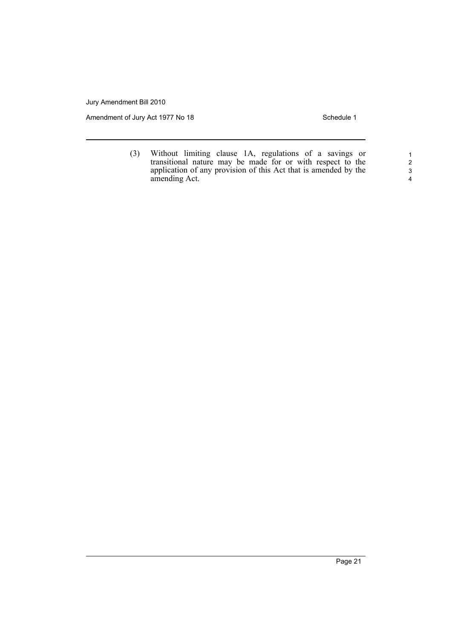Amendment of Jury Act 1977 No 18 Schedule 1

(3) Without limiting clause 1A, regulations of a savings or transitional nature may be made for or with respect to the application of any provision of this Act that is amended by the amending Act.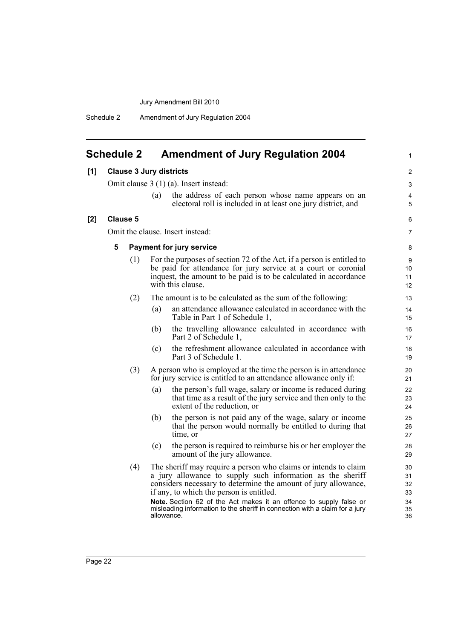Schedule 2 Amendment of Jury Regulation 2004

# <span id="page-29-0"></span>**Schedule 2 Amendment of Jury Regulation 2004**

1

| [1]                                   | <b>Clause 3 Jury districts</b>                                                                                                                                                                                                                                                  |                                                                                                                                             |                                                                                                                                   |                                                                                                                                                                                                                                                                                                                                                                                                                |                                        |
|---------------------------------------|---------------------------------------------------------------------------------------------------------------------------------------------------------------------------------------------------------------------------------------------------------------------------------|---------------------------------------------------------------------------------------------------------------------------------------------|-----------------------------------------------------------------------------------------------------------------------------------|----------------------------------------------------------------------------------------------------------------------------------------------------------------------------------------------------------------------------------------------------------------------------------------------------------------------------------------------------------------------------------------------------------------|----------------------------------------|
|                                       | Omit clause $3(1)(a)$ . Insert instead:                                                                                                                                                                                                                                         |                                                                                                                                             |                                                                                                                                   |                                                                                                                                                                                                                                                                                                                                                                                                                |                                        |
|                                       |                                                                                                                                                                                                                                                                                 |                                                                                                                                             | (a)                                                                                                                               | the address of each person whose name appears on an<br>electoral roll is included in at least one jury district, and                                                                                                                                                                                                                                                                                           | $\overline{4}$<br>5                    |
| [2]                                   | <b>Clause 5</b>                                                                                                                                                                                                                                                                 |                                                                                                                                             |                                                                                                                                   |                                                                                                                                                                                                                                                                                                                                                                                                                | 6                                      |
|                                       |                                                                                                                                                                                                                                                                                 |                                                                                                                                             |                                                                                                                                   | Omit the clause. Insert instead:                                                                                                                                                                                                                                                                                                                                                                               | $\overline{7}$                         |
|                                       | 5<br><b>Payment for jury service</b><br>For the purposes of section 72 of the Act, if a person is entitled to<br>(1)<br>be paid for attendance for jury service at a court or coronial<br>inquest, the amount to be paid is to be calculated in accordance<br>with this clause. |                                                                                                                                             |                                                                                                                                   |                                                                                                                                                                                                                                                                                                                                                                                                                | 8                                      |
|                                       |                                                                                                                                                                                                                                                                                 |                                                                                                                                             |                                                                                                                                   |                                                                                                                                                                                                                                                                                                                                                                                                                | 9<br>10<br>11<br>12                    |
|                                       | (2)<br>The amount is to be calculated as the sum of the following:                                                                                                                                                                                                              |                                                                                                                                             |                                                                                                                                   | 13                                                                                                                                                                                                                                                                                                                                                                                                             |                                        |
| (a)<br>Table in Part 1 of Schedule 1, |                                                                                                                                                                                                                                                                                 |                                                                                                                                             | an attendance allowance calculated in accordance with the                                                                         | 14<br>15                                                                                                                                                                                                                                                                                                                                                                                                       |                                        |
|                                       | (b)                                                                                                                                                                                                                                                                             |                                                                                                                                             |                                                                                                                                   | the travelling allowance calculated in accordance with<br>Part 2 of Schedule 1,                                                                                                                                                                                                                                                                                                                                | 16<br>17                               |
|                                       |                                                                                                                                                                                                                                                                                 |                                                                                                                                             | (c)                                                                                                                               | the refreshment allowance calculated in accordance with<br>Part 3 of Schedule 1.                                                                                                                                                                                                                                                                                                                               | 18<br>19                               |
|                                       |                                                                                                                                                                                                                                                                                 | (3)<br>A person who is employed at the time the person is in attendance<br>for jury service is entitled to an attendance allowance only if: |                                                                                                                                   | 20<br>21                                                                                                                                                                                                                                                                                                                                                                                                       |                                        |
|                                       |                                                                                                                                                                                                                                                                                 |                                                                                                                                             | (a)                                                                                                                               | the person's full wage, salary or income is reduced during<br>that time as a result of the jury service and then only to the<br>extent of the reduction, or                                                                                                                                                                                                                                                    | 22<br>23<br>24                         |
| (b)                                   |                                                                                                                                                                                                                                                                                 |                                                                                                                                             | the person is not paid any of the wage, salary or income<br>that the person would normally be entitled to during that<br>time, or | 25<br>26<br>27                                                                                                                                                                                                                                                                                                                                                                                                 |                                        |
|                                       |                                                                                                                                                                                                                                                                                 |                                                                                                                                             | (c)                                                                                                                               | the person is required to reimburse his or her employer the<br>amount of the jury allowance.                                                                                                                                                                                                                                                                                                                   | 28<br>29                               |
|                                       |                                                                                                                                                                                                                                                                                 | (4)                                                                                                                                         |                                                                                                                                   | The sheriff may require a person who claims or intends to claim<br>a jury allowance to supply such information as the sheriff<br>considers necessary to determine the amount of jury allowance,<br>if any, to which the person is entitled.<br>Note. Section 62 of the Act makes it an offence to supply false or<br>misleading information to the sheriff in connection with a claim for a jury<br>allowance. | 30<br>31<br>32<br>33<br>34<br>35<br>36 |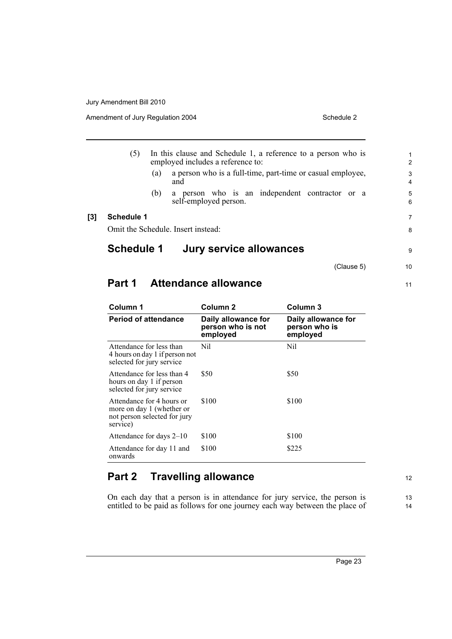Amendment of Jury Regulation 2004

| Schedule 2 |  |
|------------|--|
|            |  |

(5) In this clause and Schedule 1, a reference to a person who is employed includes a reference to: (a) a person who is a full-time, part-time or casual employee, and (b) a person who is an independent contractor or a self-employed person. **[3] Schedule 1** Omit the Schedule. Insert instead:

# **Schedule 1 Jury service allowances**

(Clause 5)

9

10

11

# **Part 1 Attendance allowance**

| Column 1                                                                                           | Column <sub>2</sub>                                  | Column 3                                         |  |
|----------------------------------------------------------------------------------------------------|------------------------------------------------------|--------------------------------------------------|--|
| <b>Period of attendance</b>                                                                        | Daily allowance for<br>person who is not<br>employed | Daily allowance for<br>person who is<br>employed |  |
| Attendance for less than<br>4 hours on day 1 if person not<br>selected for jury service            | Nil                                                  | Nil                                              |  |
| Attendance for less than 4<br>hours on day 1 if person<br>selected for jury service                | \$50                                                 | \$50                                             |  |
| Attendance for 4 hours or<br>more on day 1 (whether or<br>not person selected for jury<br>service) | \$100                                                | \$100                                            |  |
| Attendance for days 2–10                                                                           | \$100                                                | \$100                                            |  |
| Attendance for day 11 and<br>onwards                                                               | \$100                                                | \$225                                            |  |

# **Part 2 Travelling allowance**

On each day that a person is in attendance for jury service, the person is entitled to be paid as follows for one journey each way between the place of 12

13 14